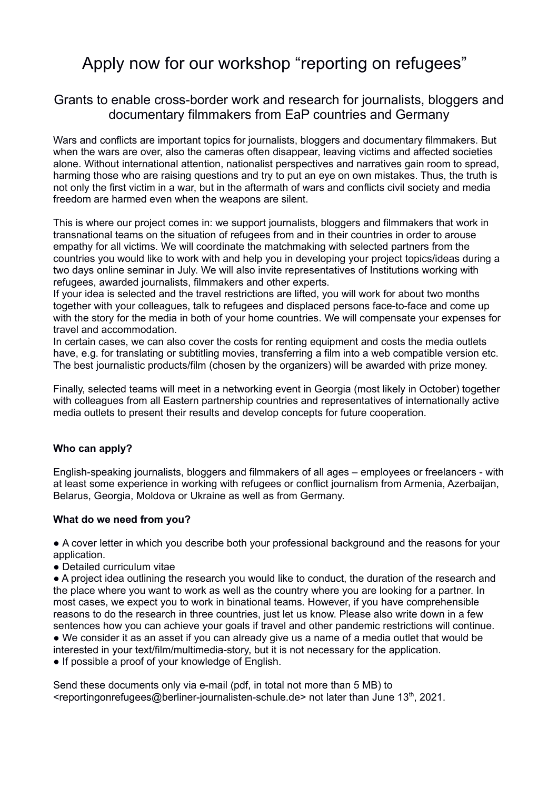## Apply now for our workshop "reporting on refugees"

## Grants to enable cross-border work and research for journalists, bloggers and documentary filmmakers from EaP countries and Germany

Wars and conflicts are important topics for journalists, bloggers and documentary filmmakers. But when the wars are over, also the cameras often disappear. Jeaving victims and affected societies alone. Without international attention, nationalist perspectives and narratives gain room to spread, harming those who are raising questions and try to put an eye on own mistakes. Thus, the truth is not only the first victim in a war, but in the aftermath of wars and conflicts civil society and media freedom are harmed even when the weapons are silent.

This is where our project comes in: we support journalists, bloggers and filmmakers that work in transnational teams on the situation of refugees from and in their countries in order to arouse empathy for all victims. We will coordinate the matchmaking with selected partners from the countries you would like to work with and help you in developing your project topics/ideas during a two days online seminar in July. We will also invite representatives of Institutions working with refugees, awarded journalists, filmmakers and other experts.

If your idea is selected and the travel restrictions are lifted, you will work for about two months together with your colleagues, talk to refugees and displaced persons face-to-face and come up with the story for the media in both of your home countries. We will compensate your expenses for travel and accommodation.

In certain cases, we can also cover the costs for renting equipment and costs the media outlets have, e.g. for translating or subtitling movies, transferring a film into a web compatible version etc. The best journalistic products/film (chosen by the organizers) will be awarded with prize money.

Finally, selected teams will meet in a networking event in Georgia (most likely in October) together with colleagues from all Eastern partnership countries and representatives of internationally active media outlets to present their results and develop concepts for future cooperation.

## **Who can apply?**

English-speaking journalists, bloggers and filmmakers of all ages – employees or freelancers - with at least some experience in working with refugees or conflict journalism from Armenia, Azerbaijan, Belarus, Georgia, Moldova or Ukraine as well as from Germany.

## **What do we need from you?**

● A cover letter in which you describe both your professional background and the reasons for your application.

● Detailed curriculum vitae

● A project idea outlining the research you would like to conduct, the duration of the research and the place where you want to work as well as the country where you are looking for a partner. In most cases, we expect you to work in binational teams. However, if you have comprehensible reasons to do the research in three countries, just let us know. Please also write down in a few sentences how you can achieve your goals if travel and other pandemic restrictions will continue. ● We consider it as an asset if you can already give us a name of a media outlet that would be interested in your text/film/multimedia-story, but it is not necessary for the application.

● If possible a proof of your knowledge of English.

Send these documents only via e-mail (pdf, in total not more than 5 MB) to  $\leq$ reportingonrefugees@berliner-journalisten-schule.de> not later than June 13<sup>th</sup>, 2021.